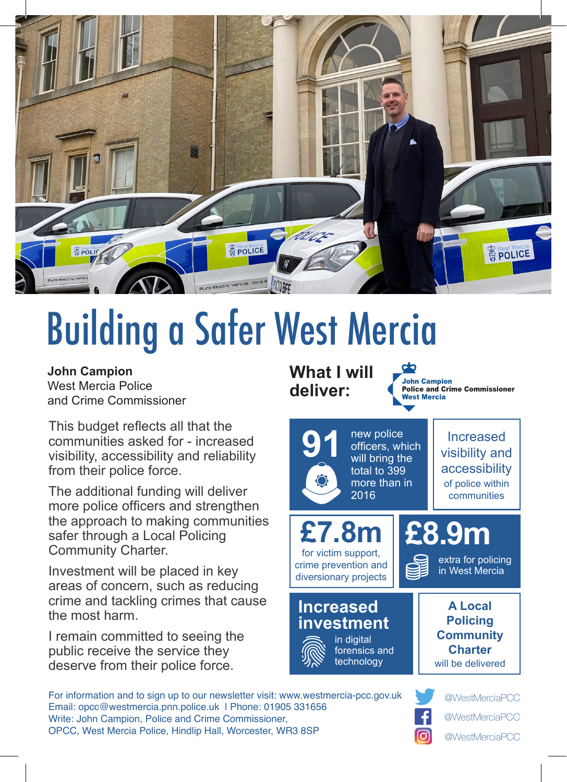

## Building a Safer West Mercia

**John Campion** West Mercia Police and Crime Commissioner

This budget reflects all that the communities asked for - increased visibility, accessibility and reliability from their police force.

The additional funding will deliver more police officers and strengthen the approach to making communities safer through a Local Policing Community Charter.

Investment will be placed in key areas of concern, such as reducing crime and tackling crimes that cause the most harm.

I remain committed to seeing the public receive the service they deserve from their police force.

**What I will deliver:**

John Campion Police and Crime Commissioner West Mercia



For information and to sign up to our newsletter visit: www.westmercia-pcc.gov.uk Email: opcc@westmercia.pnn.police.uk | Phone: 01905 331656 Write: John Campion, Police and Crime Commissioner, OPCC, West Mercia Police, Hindlip Hall, Worcester, WR3 8SP

@WestMerciaPCC

@WestMerciaPCC

@WestMerciaPCC